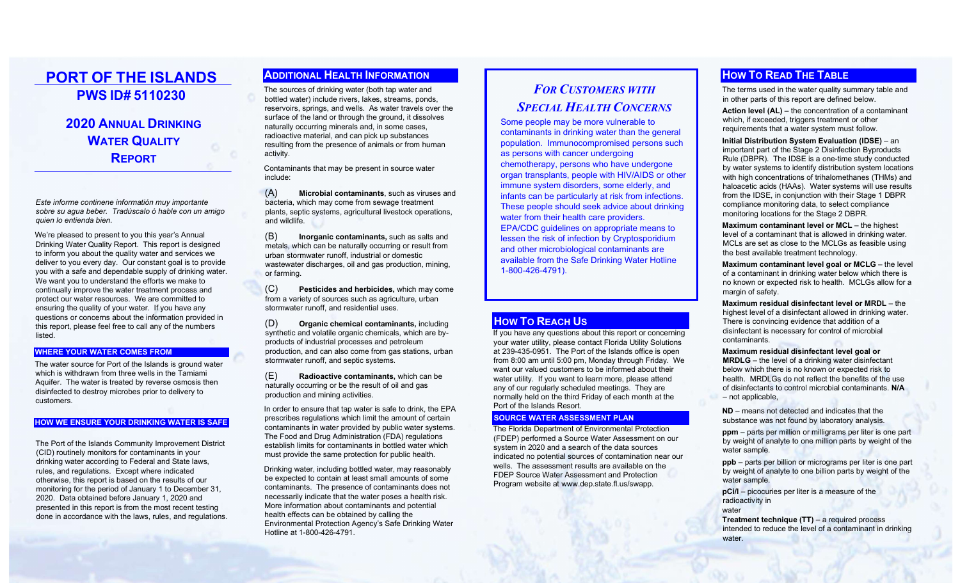# PORT OF THE ISLANDS PWS ID# 5110230

# 2020 ANNUAL DRINKING **WATER QUALITY** REPORT

İ

Este informe continene informatión muy importante sobre su agua beber. Tradúscalo ó hable con un amigo quien lo entienda bien.

We're pleased to present to you this year's Annual Drinking Water Quality Report. This report is designed to inform you about the quality water and services we deliver to you every day. Our constant goal is to provide you with a safe and dependable supply of drinking water. We want you to understand the efforts we make to continually improve the water treatment process and protect our water resources. We are committed to ensuring the quality of your water. If you have any questions or concerns about the information provided in this report, please feel free to call any of the numbers listed.

#### WHERE YOUR WATER COMES FROM

The water source for Port of the Islands is ground water which is withdrawn from three wells in the Tamiami Aquifer. The water is treated by reverse osmosis then disinfected to destroy microbes prior to delivery to customers.

### HOW WE ENSURE YOUR DRINKING WATER IS SAFE

The Port of the Islands Community Improvement District (CID) routinely monitors for contaminants in your drinking water according to Federal and State laws, rules, and regulations. Except where indicated otherwise, this report is based on the results of our monitoring for the period of January 1 to December 31, 2020. Data obtained before January 1, 2020 and presented in this report is from the most recent testing done in accordance with the laws, rules, and regulations.

## ADDITIONAL HEALTH INFORMATION

The sources of drinking water (both tap water and bottled water) include rivers, lakes, streams, ponds, reservoirs, springs, and wells. As water travels over the surface of the land or through the ground, it dissolves naturally occurring minerals and, in some cases, radioactive material, and can pick up substances resulting from the presence of animals or from human activity.

Contaminants that may be present in source water include:

(A) Microbial contaminants, such as viruses and bacteria, which may come from sewage treatment plants, septic systems, agricultural livestock operations, and wildlife.

(B) Inorganic contaminants, such as salts and metals, which can be naturally occurring or result from urban stormwater runoff, industrial or domestic wastewater discharges, oil and gas production, mining, or farming.

(C) Pesticides and herbicides, which may come from a variety of sources such as agriculture, urban stormwater runoff, and residential uses

(D) Organic chemical contaminants, including synthetic and volatile organic chemicals, which are byproducts of industrial processes and petroleum production, and can also come from gas stations, urban stormwater runoff, and septic systems.

(E) Radioactive contaminants, which can be naturally occurring or be the result of oil and gas production and mining activities.

In order to ensure that tap water is safe to drink, the EPA prescribes regulations which limit the amount of certain contaminants in water provided by public water systems. The Food and Drug Administration (FDA) regulations establish limits for contaminants in bottled water which must provide the same protection for public health.

Drinking water, including bottled water, may reasonably be expected to contain at least small amounts of some contaminants. The presence of contaminants does not necessarily indicate that the water poses a health risk. More information about contaminants and potential health effects can be obtained by calling the Environmental Protection Agency's Safe Drinking Water Hotline at 1-800-426-4791.

# **FOR CUSTOMERS WITH** SPECIAL HEALTH CONCERNS

Some people may be more vulnerable to contaminants in drinking water than the general population. Immunocompromised persons such as persons with cancer undergoing chemotherapy, persons who have undergone organ transplants, people with HIV/AIDS or other immune system disorders, some elderly, and infants can be particularly at risk from infections. These people should seek advice about drinking water from their health care providers. EPA/CDC guidelines on appropriate means to lessen the risk of infection by Cryptosporidium and other microbiological contaminants are available from the Safe Drinking Water Hotline 1-800-426-4791).

### **HOW TO REACH US**

If you have any questions about this report or concerning your water utility, please contact Florida Utility Solutions at 239-435-0951. The Port of the Islands office is open from 8:00 am until 5:00 pm, Monday through Friday. We want our valued customers to be informed about their water utility. If you want to learn more, please attend any of our regularly scheduled meetings. They are normally held on the third Friday of each month at the Port of the Islands Resort.

### SOURCE WATER ASSESSMENT PLAN

The Florida Department of Environmental Protection (FDEP) performed a Source Water Assessment on our system in 2020 and a search of the data sources indicated no potential sources of contamination near our wells. The assessment results are available on the FDEP Source Water Assessment and Protection Program website at www.dep.state.fl.us/swapp.

## **HOW TO READ THE TABLE**

The terms used in the water quality summary table and in other parts of this report are defined below.

Action level (AL) – the concentration of a contaminant which, if exceeded, triggers treatment or other requirements that a water system must follow.

Initial Distribution System Evaluation (IDSE) – an important part of the Stage 2 Disinfection Byproducts Rule (DBPR). The IDSE is a one-time study conducted by water systems to identify distribution system locations with high concentrations of trihalomethanes (THMs) and haloacetic acids (HAAs). Water systems will use results from the IDSE, in conjunction with their Stage 1 DBPR compliance monitoring data, to select compliance monitoring locations for the Stage 2 DBPR.

Maximum contaminant level or MCL – the highest level of a contaminant that is allowed in drinking water. MCLs are set as close to the MCLGs as feasible using the best available treatment technology.

Maximum contaminant level goal or MCLG – the level of a contaminant in drinking water below which there is no known or expected risk to health. MCLGs allow for a margin of safety.

Maximum residual disinfectant level or MRDL – the highest level of a disinfectant allowed in drinking water. There is convincing evidence that addition of a disinfectant is necessary for control of microbial contaminants.

Maximum residual disinfectant level goal or MRDLG – the level of a drinking water disinfectant below which there is no known or expected risk to health. MRDLGs do not reflect the benefits of the use of disinfectants to control microbial contaminants. N/A – not applicable,

ND – means not detected and indicates that the substance was not found by laboratory analysis.

ppm – parts per million or milligrams per liter is one part by weight of analyte to one million parts by weight of the water sample.

ppb – parts per billion or micrograms per liter is one part by weight of analyte to one billion parts by weight of the water sample.

pCi/l – picocuries per liter is a measure of the radioactivity in water

Treatment technique (TT) – a required process intended to reduce the level of a contaminant in drinking water